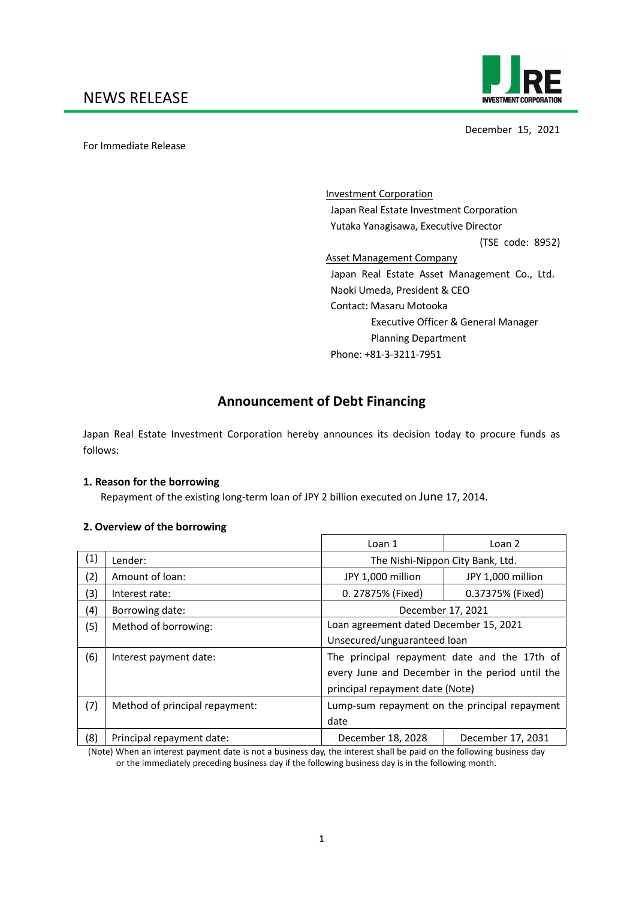

December 15, 2021

For Immediate Release

 Investment Corporation Japan Real Estate Investment Corporation Yutaka Yanagisawa, Executive Director (TSE code: 8952) Asset Management Company Japan Real Estate Asset Management Co., Ltd. Naoki Umeda, President & CEO Contact: Masaru Motooka Executive Officer & General Manager Planning Department Phone: +81‐3‐3211‐7951

# **Announcement of Debt Financing**

Japan Real Estate Investment Corporation hereby announces its decision today to procure funds as follows:

### **1. Reason for the borrowing**

Repayment of the existing long‐term loan of JPY 2 billion executed on June 17, 2014.

### **2. Overview of the borrowing**

|     |                                | Loan 1                                          | Loan 2            |  |
|-----|--------------------------------|-------------------------------------------------|-------------------|--|
| (1) | Lender:                        | The Nishi-Nippon City Bank, Ltd.                |                   |  |
| (2) | Amount of loan:                | JPY 1,000 million                               | JPY 1,000 million |  |
| (3) | Interest rate:                 | 0. 27875% (Fixed)                               | 0.37375% (Fixed)  |  |
| (4) | Borrowing date:                | December 17, 2021                               |                   |  |
| (5) | Method of borrowing:           | Loan agreement dated December 15, 2021          |                   |  |
|     |                                | Unsecured/unguaranteed loan                     |                   |  |
| (6) | Interest payment date:         | The principal repayment date and the 17th of    |                   |  |
|     |                                | every June and December in the period until the |                   |  |
|     |                                | principal repayment date (Note)                 |                   |  |
| (7) | Method of principal repayment: | Lump-sum repayment on the principal repayment   |                   |  |
|     |                                | date                                            |                   |  |
| (8) | Principal repayment date:      | December 18, 2028                               | December 17, 2031 |  |

 (Note) When an interest payment date is not a business day, the interest shall be paid on the following business day or the immediately preceding business day if the following business day is in the following month.